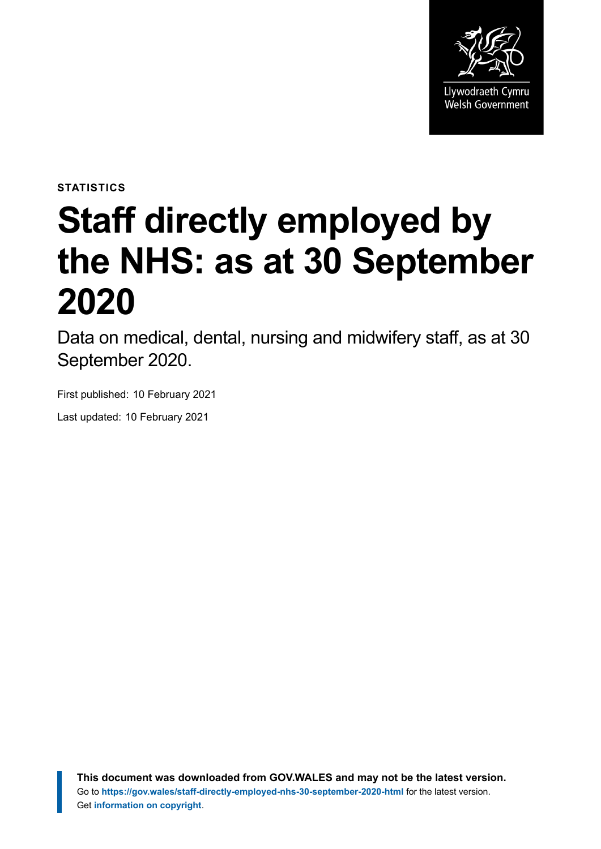

**STATISTICS**

# **Staff directly employed by the NHS: as at 30 September 2020**

Data on medical, dental, nursing and midwifery staff, as at 30 September 2020.

First published: 10 February 2021

Last updated: 10 February 2021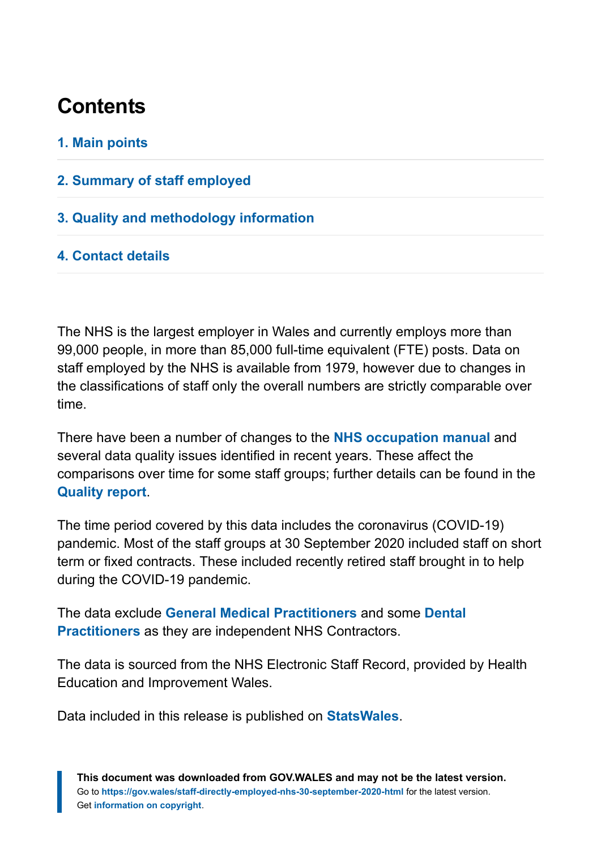## **Contents**

#### **[1. Main points](#page-2-0)**

- **[2. Summary of staff employed](#page-3-0)**
- **[3. Quality and methodology information](#page-9-0)**

#### **[4. Contact details](#page-10-0)**

The NHS is the largest employer in Wales and currently employs more than 99,000 people, in more than 85,000 full-time equivalent (FTE) posts. Data on staff employed by the NHS is available from 1979, however due to changes in the classifications of staff only the overall numbers are strictly comparable over time.

There have been a number of changes to the **[NHS occupation manual](http://www.hscic.gov.uk/article/2268/NHS-Occupation-Codes)** and several data quality issues identified in recent years. These affect the comparisons over time for some staff groups; further details can be found in the **[Quality report](https://gov.wales/staff-directly-employed-nhs-quality-report)**.

The time period covered by this data includes the coronavirus (COVID-19) pandemic. Most of the staff groups at 30 September 2020 included staff on short term or fixed contracts. These included recently retired staff brought in to help during the COVID-19 pandemic.

The data exclude **[General Medical Practitioners](https://statswales.gov.wales/Catalogue/Health-and-Social-Care/General-Medical-Services/number-of-gps-employed-in-general-practices)** and some **[Dental](https://statswales.gov.wales/Catalogue/Health-and-Social-Care/General-Dental-Services/Current-Contract/nhsdentalworkforce-by-localhealthboard-agegroup-contracttype-gender-dentisttype-year) [Practitioners](https://statswales.gov.wales/Catalogue/Health-and-Social-Care/General-Dental-Services/Current-Contract/nhsdentalworkforce-by-localhealthboard-agegroup-contracttype-gender-dentisttype-year)** as they are independent NHS Contractors.

The data is sourced from the NHS Electronic Staff Record, provided by Health Education and Improvement Wales.

Data included in this release is published on **[StatsWales](https://statswales.gov.wales/Catalogue/Health-and-Social-Care/NHS-Staff)**.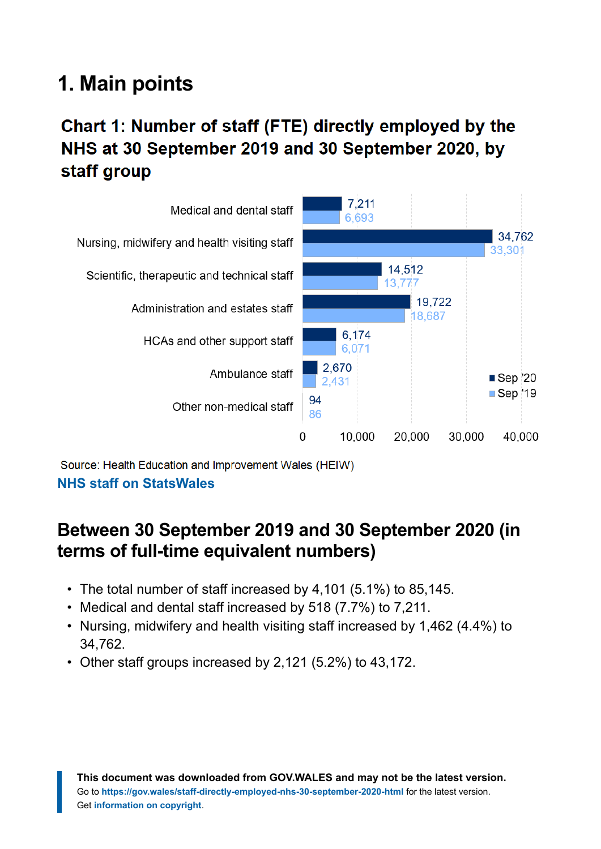# <span id="page-2-0"></span>**1. Main points**

## Chart 1: Number of staff (FTE) directly employed by the NHS at 30 September 2019 and 30 September 2020, by staff group



Source: Health Education and Improvement Wales (HEIW)

#### **[NHS staff on StatsWales](https://statswales.gov.wales/Catalogue/Health-and-Social-Care/NHS-Staff)**

## **Between 30 September 2019 and 30 September 2020 (in terms of full-time equivalent numbers)**

- The total number of staff increased by 4,101 (5.1%) to 85,145.
- Medical and dental staff increased by 518 (7.7%) to 7,211.
- Nursing, midwifery and health visiting staff increased by 1,462 (4.4%) to 34,762.
- Other staff groups increased by 2,121 (5.2%) to 43,172.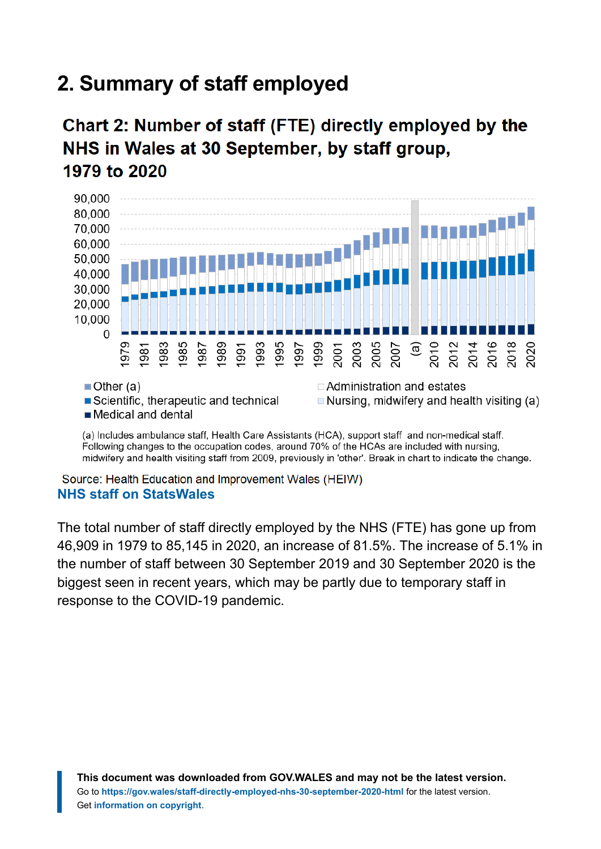# <span id="page-3-0"></span>**2. Summary of staff employed**

## Chart 2: Number of staff (FTE) directly employed by the NHS in Wales at 30 September, by staff group, 1979 to 2020



Following changes to the occupation codes, around 70% of the HCAs are included with nursing, midwifery and health visiting staff from 2009, previously in 'other'. Break in chart to indicate the change.

Source: Health Education and Improvement Wales (HEIW) **[NHS staff on StatsWales](https://statswales.gov.wales/Catalogue/Health-and-Social-Care/NHS-Staff)**

The total number of staff directly employed by the NHS (FTE) has gone up from 46,909 in 1979 to 85,145 in 2020, an increase of 81.5%. The increase of 5.1% in the number of staff between 30 September 2019 and 30 September 2020 is the biggest seen in recent years, which may be partly due to temporary staff in response to the COVID-19 pandemic.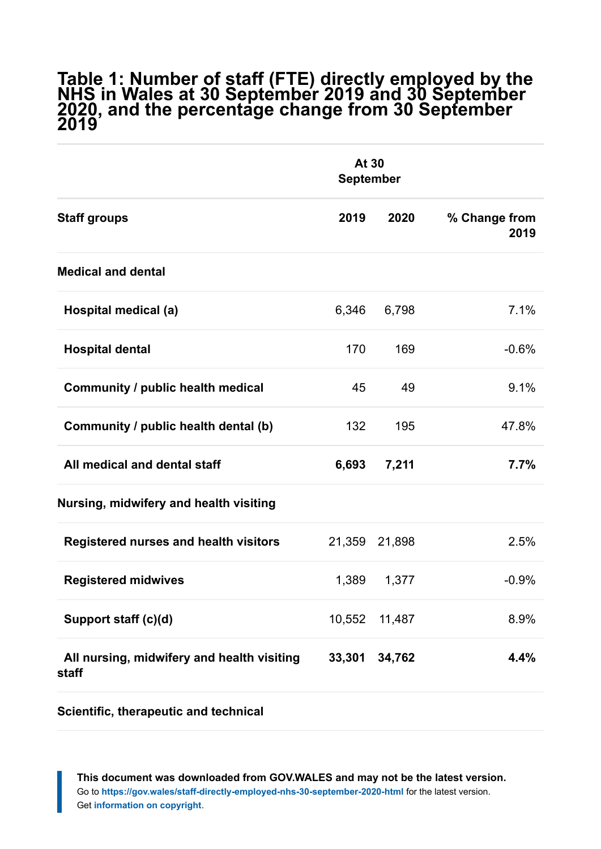#### **Table 1: Number of staff (FTE) directly employed by the NHS in Wales at 30 September 2019 and 30 September 2020, and the percentage change from 30 September 2019**

|                                                     | At 30<br><b>September</b> |        |                       |
|-----------------------------------------------------|---------------------------|--------|-----------------------|
| <b>Staff groups</b>                                 | 2019                      | 2020   | % Change from<br>2019 |
| <b>Medical and dental</b>                           |                           |        |                       |
| Hospital medical (a)                                | 6,346                     | 6,798  | 7.1%                  |
| <b>Hospital dental</b>                              | 170                       | 169    | $-0.6%$               |
| Community / public health medical                   | 45                        | 49     | 9.1%                  |
| Community / public health dental (b)                | 132                       | 195    | 47.8%                 |
| All medical and dental staff                        | 6,693                     | 7,211  | 7.7%                  |
| Nursing, midwifery and health visiting              |                           |        |                       |
| <b>Registered nurses and health visitors</b>        | 21,359                    | 21,898 | 2.5%                  |
| <b>Registered midwives</b>                          | 1,389                     | 1,377  | $-0.9%$               |
| Support staff (c)(d)                                | 10,552                    | 11,487 | 8.9%                  |
| All nursing, midwifery and health visiting<br>staff | 33,301                    | 34,762 | 4.4%                  |

**Scientific, therapeutic and technical**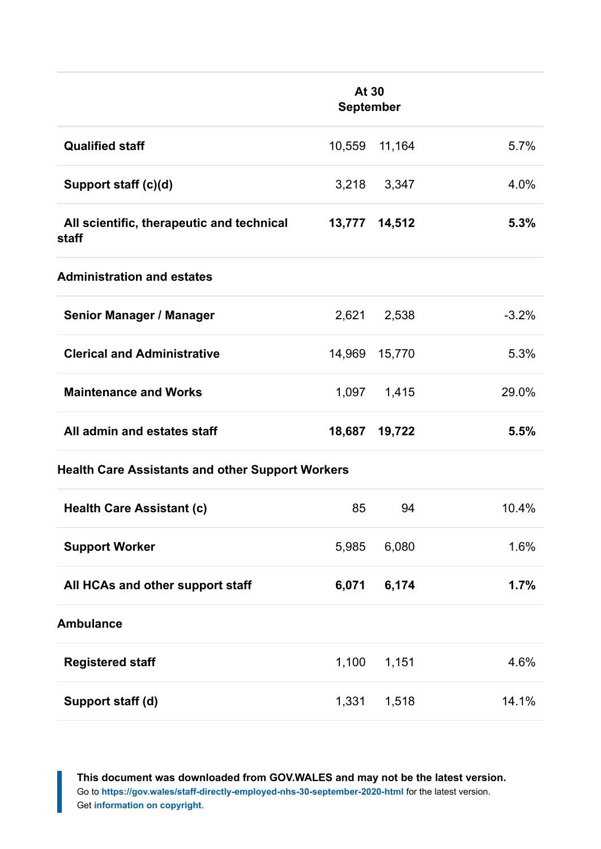|                                                         | At 30<br><b>September</b> |        |         |  |  |
|---------------------------------------------------------|---------------------------|--------|---------|--|--|
| <b>Qualified staff</b>                                  | 10,559                    | 11,164 | 5.7%    |  |  |
| Support staff (c)(d)                                    | 3,218                     | 3,347  | 4.0%    |  |  |
| All scientific, therapeutic and technical<br>staff      | 13,777                    | 14,512 | 5.3%    |  |  |
| <b>Administration and estates</b>                       |                           |        |         |  |  |
| <b>Senior Manager / Manager</b>                         | 2,621                     | 2,538  | $-3.2%$ |  |  |
| <b>Clerical and Administrative</b>                      | 14,969                    | 15,770 | 5.3%    |  |  |
| <b>Maintenance and Works</b>                            | 1,097                     | 1,415  | 29.0%   |  |  |
| All admin and estates staff                             | 18,687                    | 19,722 | 5.5%    |  |  |
| <b>Health Care Assistants and other Support Workers</b> |                           |        |         |  |  |
| <b>Health Care Assistant (c)</b>                        | 85                        | 94     | 10.4%   |  |  |
| <b>Support Worker</b>                                   | 5,985                     | 6,080  | 1.6%    |  |  |
| All HCAs and other support staff                        | 6,071                     | 6,174  | 1.7%    |  |  |
| <b>Ambulance</b>                                        |                           |        |         |  |  |
| <b>Registered staff</b>                                 | 1,100                     | 1,151  | 4.6%    |  |  |
| Support staff (d)                                       | 1,331                     | 1,518  | 14.1%   |  |  |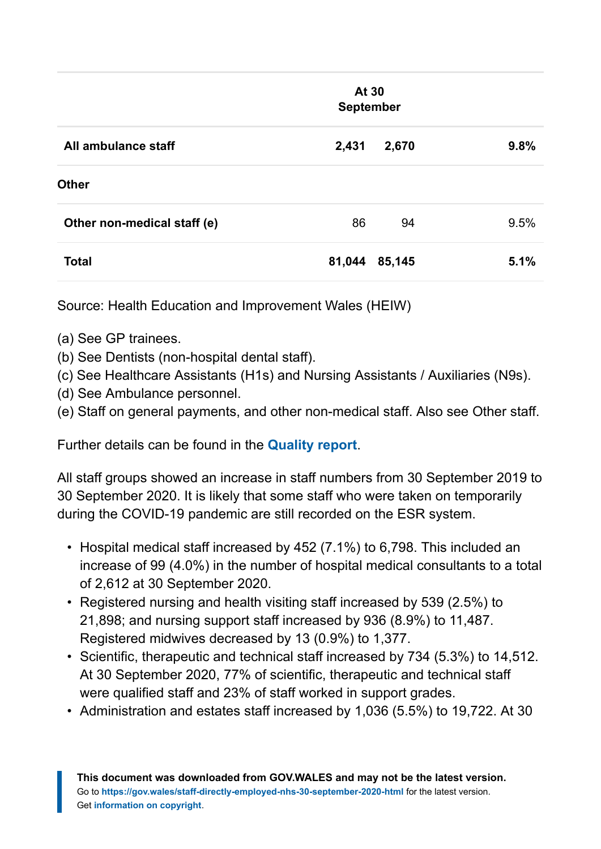|                             |        | At 30<br>September |      |
|-----------------------------|--------|--------------------|------|
| All ambulance staff         | 2,431  | 2,670              | 9.8% |
| <b>Other</b>                |        |                    |      |
| Other non-medical staff (e) | 86     | 94                 | 9.5% |
| <b>Total</b>                | 81,044 | 85,145             | 5.1% |

Source: Health Education and Improvement Wales (HEIW)

- (a) See GP trainees.
- (b) See Dentists (non-hospital dental staff).
- (c) See Healthcare Assistants (H1s) and Nursing Assistants / Auxiliaries (N9s).
- (d) See Ambulance personnel.

(e) Staff on general payments, and other non-medical staff. Also see Other staff.

Further details can be found in the **[Quality report](https://gov.wales/staff-directly-employed-nhs-quality-report)**.

All staff groups showed an increase in staff numbers from 30 September 2019 to 30 September 2020. It is likely that some staff who were taken on temporarily during the COVID-19 pandemic are still recorded on the ESR system.

- Hospital medical staff increased by 452 (7.1%) to 6,798. This included an increase of 99 (4.0%) in the number of hospital medical consultants to a total of 2,612 at 30 September 2020.
- Registered nursing and health visiting staff increased by 539 (2.5%) to 21,898; and nursing support staff increased by 936 (8.9%) to 11,487. Registered midwives decreased by 13 (0.9%) to 1,377.
- Scientific, therapeutic and technical staff increased by 734 (5.3%) to 14,512. At 30 September 2020, 77% of scientific, therapeutic and technical staff were qualified staff and 23% of staff worked in support grades.
- Administration and estates staff increased by 1,036 (5.5%) to 19,722. At 30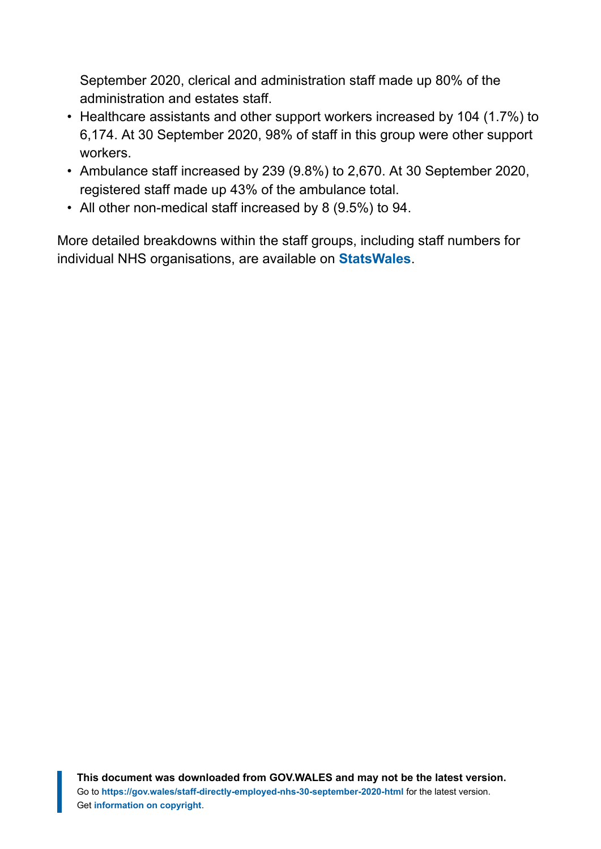September 2020, clerical and administration staff made up 80% of the administration and estates staff.

- Healthcare assistants and other support workers increased by 104 (1.7%) to 6,174. At 30 September 2020, 98% of staff in this group were other support workers.
- Ambulance staff increased by 239 (9.8%) to 2,670. At 30 September 2020, registered staff made up 43% of the ambulance total.
- All other non-medical staff increased by 8 (9.5%) to 94.

More detailed breakdowns within the staff groups, including staff numbers for individual NHS organisations, are available on **[StatsWales](https://statswales.gov.wales/Catalogue/Health-and-Social-Care/NHS-Staff)**.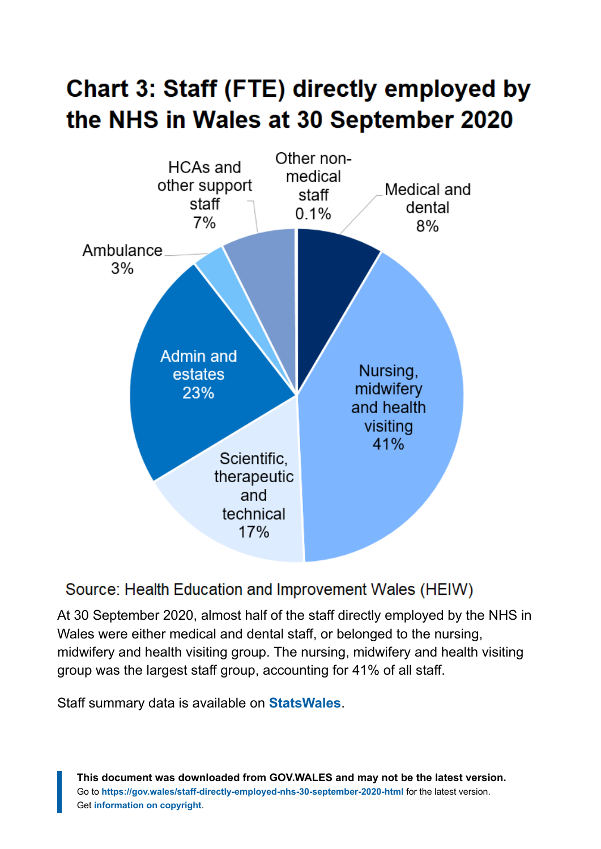# Chart 3: Staff (FTE) directly employed by the NHS in Wales at 30 September 2020



#### Source: Health Education and Improvement Wales (HEIW)

At 30 September 2020, almost half of the staff directly employed by the NHS in Wales were either medical and dental staff, or belonged to the nursing, midwifery and health visiting group. The nursing, midwifery and health visiting group was the largest staff group, accounting for 41% of all staff.

Staff summary data is available on **[StatsWales](https://statswales.gov.wales/Catalogue/Health-and-Social-Care/NHS-Staff/NHS-Staff-Summary)**.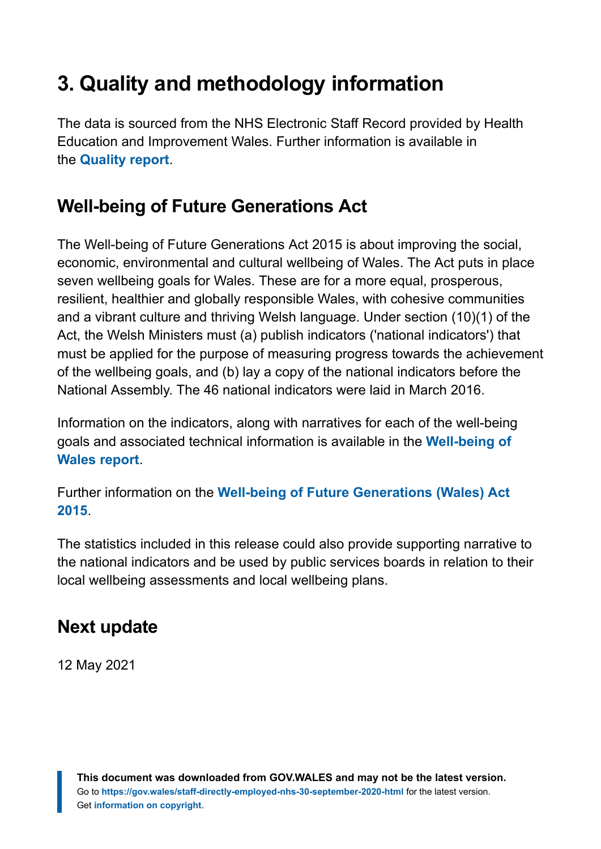# <span id="page-9-0"></span>**3. Quality and methodology information**

The data is sourced from the NHS Electronic Staff Record provided by Health Education and Improvement Wales. Further information is available in the **[Quality report](https://gov.wales/staff-directly-employed-nhs-quality-report)**.

## **Well-being of Future Generations Act**

The Well-being of Future Generations Act 2015 is about improving the social, economic, environmental and cultural wellbeing of Wales. The Act puts in place seven wellbeing goals for Wales. These are for a more equal, prosperous, resilient, healthier and globally responsible Wales, with cohesive communities and a vibrant culture and thriving Welsh language. Under section (10)(1) of the Act, the Welsh Ministers must (a) publish indicators ('national indicators') that must be applied for the purpose of measuring progress towards the achievement of the wellbeing goals, and (b) lay a copy of the national indicators before the National Assembly. The 46 national indicators were laid in March 2016.

Information on the indicators, along with narratives for each of the well-being goals and associated technical information is available in the **[Well-being of](https://gov.wales/wellbeing-wales) [Wales report](https://gov.wales/wellbeing-wales)**.

Further information on the **[Well-being of Future Generations \(Wales\) Act](https://gov.wales/well-being-future-generations-wales-act-2015-guidance) [2015](https://gov.wales/well-being-future-generations-wales-act-2015-guidance)**.

The statistics included in this release could also provide supporting narrative to the national indicators and be used by public services boards in relation to their local wellbeing assessments and local wellbeing plans.

#### **Next update**

12 May 2021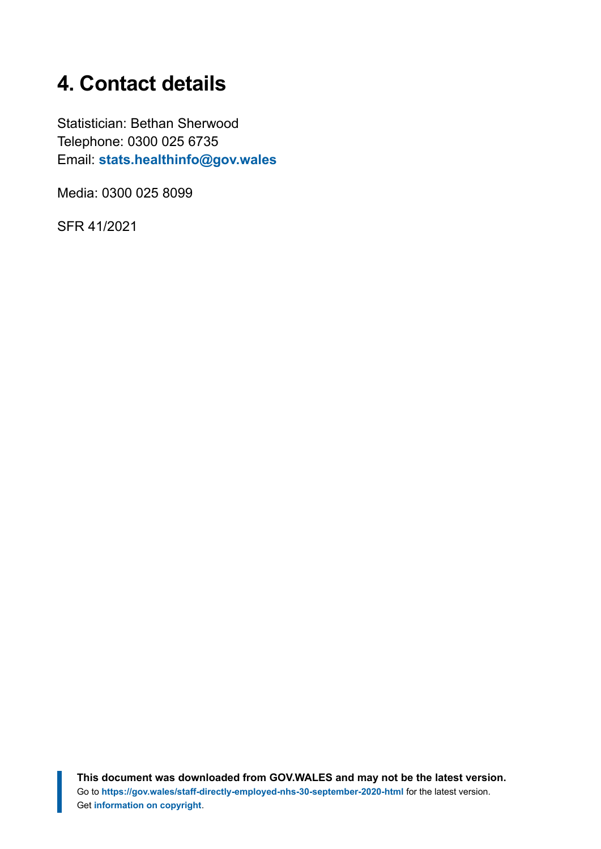# <span id="page-10-0"></span>**4. Contact details**

Statistician: Bethan Sherwood Telephone: 0300 025 6735 Email: **[stats.healthinfo@gov.wales](mailto:stats.healthinfo@gov.wales)**

Media: 0300 025 8099

SFR 41/2021